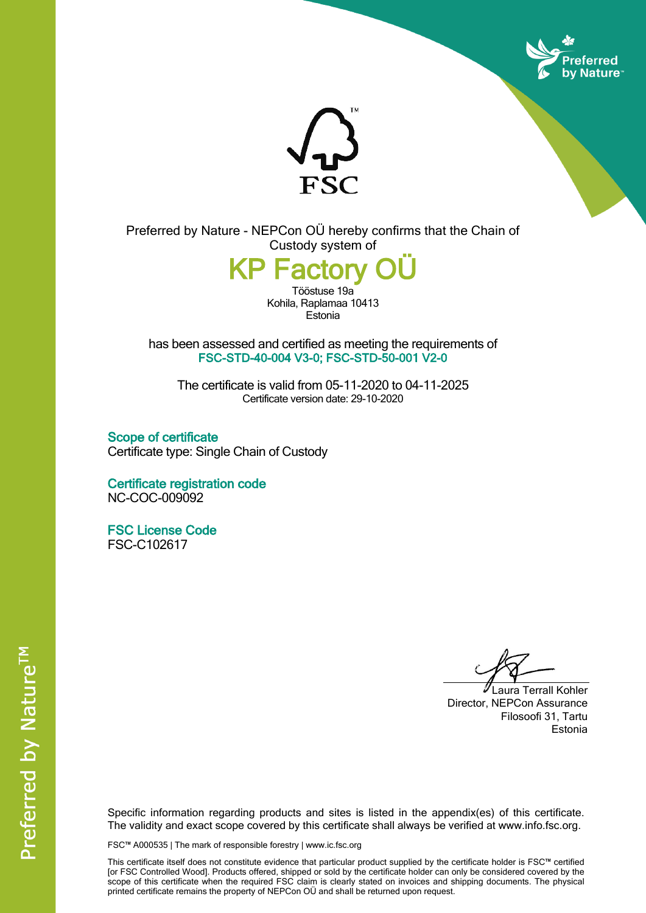



Preferred by Nature - NEPCon OÜ hereby confirms that the Chain of Custody system of

**KP Factory OÜ**

Tööstuse19a Kohila, Raplamaa 10413 Estonia

has been assessed and certified as meeting the requirements of **FSC-STD-40-004 V3-0; FSC-STD-50-001 V2-0**

The certificate is valid from 05-11-2020 to 04-11-2025 Certificate version date: 29-10-2020

**Scope of certificate** Certificate type: Single Chain of Custody

**Certificate registration code** NC-COC-009092

**FSC License Code** FSC-C102617

Laura Terrall Kohler Director, NEPCon Assurance Filosoofi 31, Tartu Estonia

Specific information regarding products and sites is listed in the appendix(es) of this certificate. The validity and exact scope covered by this certificate shall always be verified at www.info.fsc.org.

FSC™ A000535 | The mark of responsible forestry | www.ic.fsc.org

This certificate itself does not constitute evidence that particular product supplied by the certificate holder is FSC™ certified [or FSC Controlled Wood]. Products offered, shipped or sold by the certificate holder can only be considered covered by the scope of this certificate when the required FSC claim is clearly stated on invoices and shipping documents. The physical printed certificate remains the property of NEPCon OÜ and shall be returned upon request.